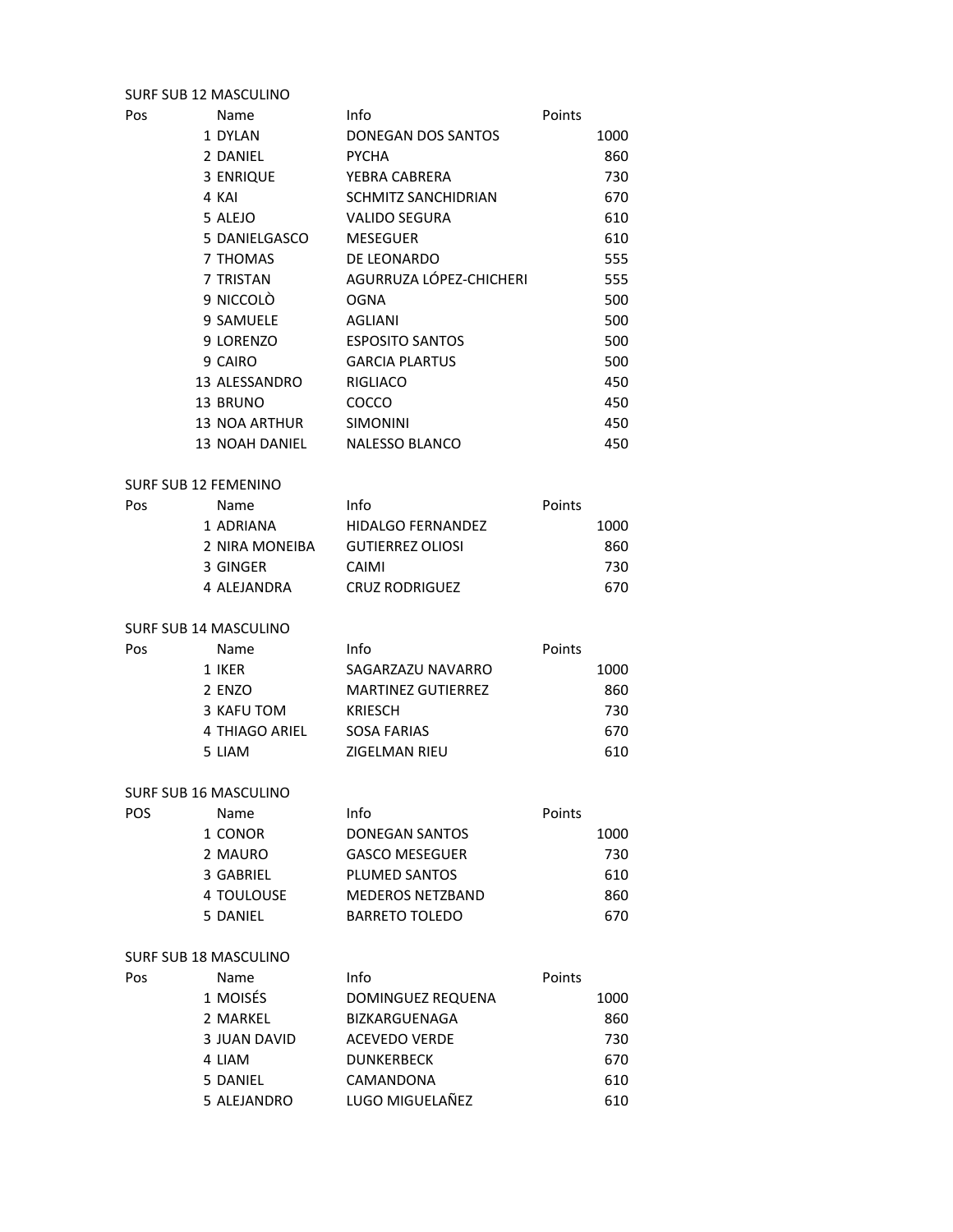## SURF SUB 12 MASCULINO

| Pos                         | Name                 | Info                    | Points        |
|-----------------------------|----------------------|-------------------------|---------------|
|                             | 1 DYLAN              | DONEGAN DOS SANTOS      | 1000          |
|                             | 2 DANIEL             | <b>PYCHA</b>            | 860           |
|                             | 3 ENRIQUE            | YEBRA CABRERA           | 730           |
|                             | 4 KAI                | SCHMITZ SANCHIDRIAN     | 670           |
|                             | 5 ALEJO              | <b>VALIDO SEGURA</b>    | 610           |
|                             | 5 DANIELGASCO        | <b>MESEGUER</b>         | 610           |
|                             | 7 THOMAS             | DE LEONARDO             | 555           |
|                             | 7 TRISTAN            | AGURRUZA LÓPEZ-CHICHERI | 555           |
|                             | 9 NICCOLÒ            | <b>OGNA</b>             | 500           |
|                             | 9 SAMUELE            | AGLIANI                 | 500           |
|                             | 9 LORENZO            | <b>ESPOSITO SANTOS</b>  | 500           |
|                             | 9 CAIRO              | <b>GARCIA PLARTUS</b>   | 500           |
|                             | 13 ALESSANDRO        | RIGLIACO                | 450           |
|                             | 13 BRUNO             | COCCO                   | 450           |
|                             | <b>13 NOA ARTHUR</b> | <b>SIMONINI</b>         | 450           |
|                             | 13 NOAH DANIEL       | <b>NALESSO BLANCO</b>   | 450           |
| <b>SURF SUB 12 FEMENINO</b> |                      |                         |               |
| Doc.                        | Nomo                 | Inf <sub>0</sub>        | <b>Dointe</b> |

| Pos | Name           | Info                     | Points |
|-----|----------------|--------------------------|--------|
|     | 1 ADRIANA      | <b>HIDALGO FERNANDEZ</b> | 1000   |
|     | 2 NIRA MONEIBA | <b>GUTIERREZ OLIOSI</b>  | 860    |
|     | 3 GINGER       | CAIMI                    | 730    |
|     | 4 ALEJANDRA    | <b>CRUZ RODRIGUEZ</b>    | 670    |

### SURF SUB 14 MASCULINO

| Pos | Name           | Info                      | Points |
|-----|----------------|---------------------------|--------|
|     | 1 IKER         | SAGARZAZU NAVARRO         | 1000   |
|     | 2 ENZO         | <b>MARTINEZ GUTIERREZ</b> | 860    |
|     | 3 KAFU TOM     | <b>KRIESCH</b>            | 730    |
|     | 4 THIAGO ARIEL | SOSA FARIAS               | 670    |
|     | 5 LIAM         | ZIGELMAN RIEU             | 610    |

#### SURF SUB 16 MASCULINO

| POS | Name       | Info                    | Points |
|-----|------------|-------------------------|--------|
|     | 1 CONOR    | DONEGAN SANTOS          | 1000   |
|     | 2 MAURO    | <b>GASCO MESEGUER</b>   | 730    |
|     | 3 GABRIEL  | <b>PLUMED SANTOS</b>    | 610    |
|     | 4 TOULOUSE | <b>MEDEROS NETZBAND</b> | 860    |
|     | 5 DANIEL   | <b>BARRETO TOLEDO</b>   | 670    |

# SURF SUB 18 MASCULINO

|     | SURF SUB 18 MASCULINO |                      |        |
|-----|-----------------------|----------------------|--------|
| Pos | <b>Name</b>           | Info                 | Points |
|     | 1 MOISÉS              | DOMINGUEZ REQUENA    | 1000   |
|     | 2 MARKEL              | <b>BIZKARGUENAGA</b> | 860    |
|     | 3 JUAN DAVID          | <b>ACEVEDO VERDE</b> | 730    |
|     | 4 LIAM                | <b>DUNKERBECK</b>    | 670    |
|     | 5 DANIEL              | CAMANDONA            | 610    |
|     | 5 ALEJANDRO           | LUGO MIGUELAÑEZ      | 610    |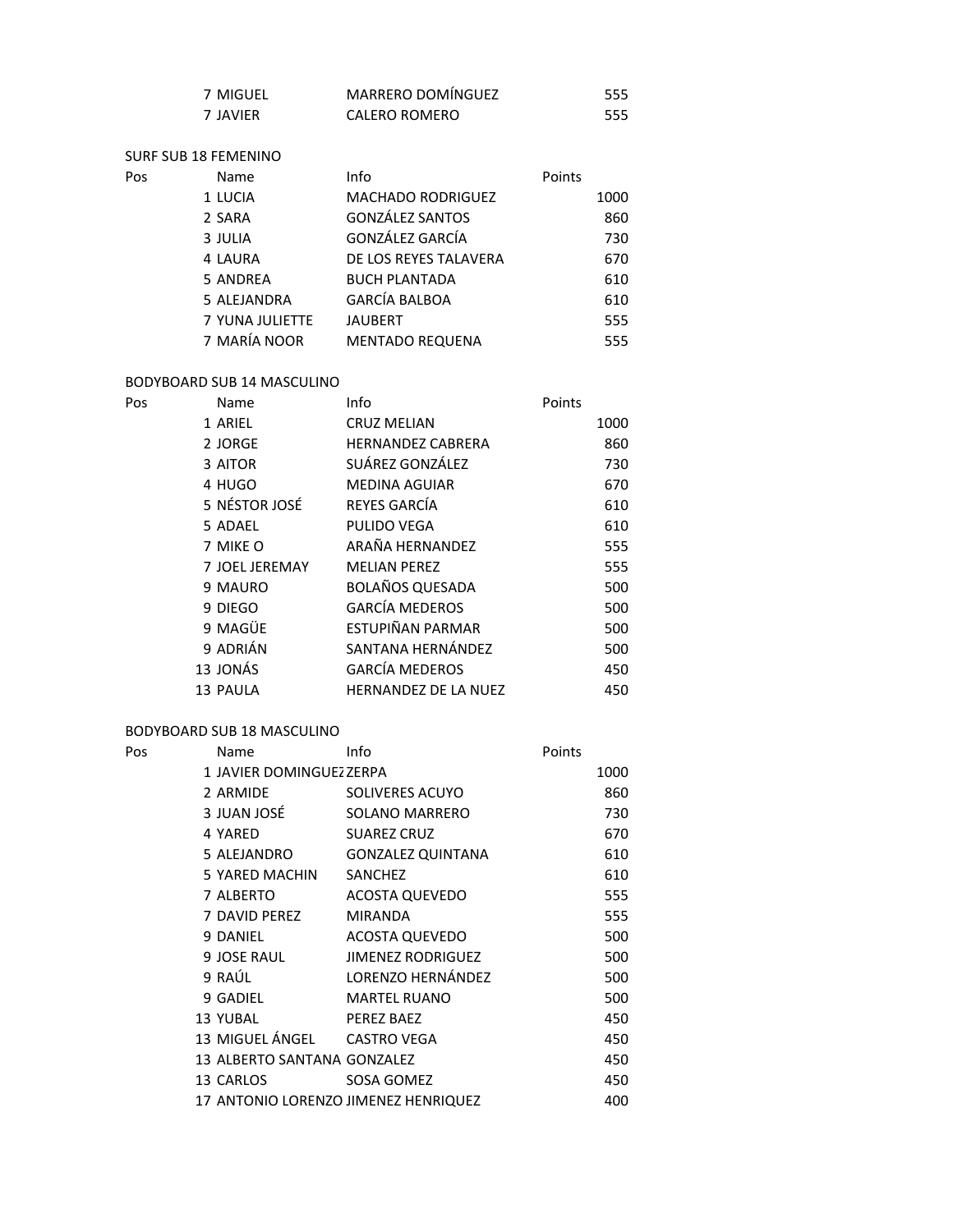| 7 MIGUEL | MARRERO DOMÍNGUEZ | 555 |
|----------|-------------------|-----|
| 7 JAVIER | CALERO ROMERO     | 555 |

SURF SUB 18 FEMENINO

| Pos | Name            | Info                     | Points |
|-----|-----------------|--------------------------|--------|
|     | 1 LUCIA         | <b>MACHADO RODRIGUEZ</b> | 1000   |
|     | 2 SARA          | <b>GONZÁLEZ SANTOS</b>   | 860    |
|     | 3 JULIA         | GONZÁLEZ GARCÍA          | 730    |
|     | 4 LAURA         | DE LOS REYES TALAVERA    | 670    |
|     | 5 ANDREA        | <b>BUCH PLANTADA</b>     | 610    |
|     | 5 ALEJANDRA     | <b>GARCÍA BALBOA</b>     | 610    |
|     | 7 YUNA JULIETTE | <b>JAUBERT</b>           | 555    |
|     | 7 MARÍA NOOR    | <b>MENTADO REQUENA</b>   | 555    |
|     |                 |                          |        |

### BODYBOARD SUB 14 MASCULINO

| Pos | Name           | Info                        | Points |
|-----|----------------|-----------------------------|--------|
|     | 1 ARIEL        | <b>CRUZ MELIAN</b>          | 1000   |
|     | 2 JORGE        | <b>HERNANDEZ CABRERA</b>    | 860    |
|     | 3 AITOR        | SUÁREZ GONZÁLEZ             | 730    |
|     | 4 HUGO         | <b>MEDINA AGUIAR</b>        | 670    |
|     | 5 NÉSTOR JOSÉ  | REYES GARCÍA                | 610    |
|     | 5 ADAEL        | PULIDO VEGA                 | 610    |
|     | 7 MIKE O       | ARAÑA HERNANDEZ             | 555    |
|     | 7 JOEL JEREMAY | <b>MELIAN PEREZ</b>         | 555    |
|     | 9 MAURO        | <b>BOLAÑOS QUESADA</b>      | 500    |
|     | 9 DIEGO        | <b>GARCÍA MEDEROS</b>       | 500    |
|     | 9 MAGÜE        | ESTUPIÑAN PARMAR            | 500    |
|     | 9 ADRIÁN       | SANTANA HERNÁNDEZ           | 500    |
|     | 13 JONÁS       | <b>GARCÍA MEDEROS</b>       | 450    |
|     | 13 PAULA       | <b>HERNANDEZ DE LA NUEZ</b> | 450    |

# BODYBOARD SUB 18 MASCULINO

| Pos | Name                        | Info                                 | Points |      |
|-----|-----------------------------|--------------------------------------|--------|------|
|     | 1 JAVIER DOMINGUEZ ZERPA    |                                      |        | 1000 |
|     | 2 ARMIDE                    | SOLIVERES ACUYO                      |        | 860  |
|     | 3 JUAN JOSÉ                 | <b>SOLANO MARRERO</b>                |        | 730  |
|     | 4 YARED                     | <b>SUAREZ CRUZ</b>                   |        | 670  |
|     | 5 ALEJANDRO                 | <b>GONZALEZ QUINTANA</b>             |        | 610  |
|     | 5 YARED MACHIN              | SANCHEZ                              |        | 610  |
|     | 7 ALBERTO                   | <b>ACOSTA QUEVEDO</b>                |        | 555  |
|     | 7 DAVID PEREZ               | <b>MIRANDA</b>                       |        | 555  |
|     | 9 DANIEL                    | <b>ACOSTA QUEVEDO</b>                |        | 500  |
|     | 9 JOSE RAUL                 | <b>JIMENEZ RODRIGUEZ</b>             |        | 500  |
|     | 9 RAÚL                      | LORENZO HERNÁNDEZ                    |        | 500  |
|     | 9 GADIEL                    | <b>MARTEL RUANO</b>                  |        | 500  |
|     | 13 YUBAL                    | PEREZ BAEZ                           |        | 450  |
|     | 13 MIGUEL ÁNGEL             | <b>CASTRO VEGA</b>                   |        | 450  |
|     | 13 ALBERTO SANTANA GONZALEZ |                                      |        | 450  |
|     | 13 CARLOS                   | SOSA GOMEZ                           |        | 450  |
|     |                             | 17 ANTONIO LORENZO JIMENEZ HENRIQUEZ |        | 400  |